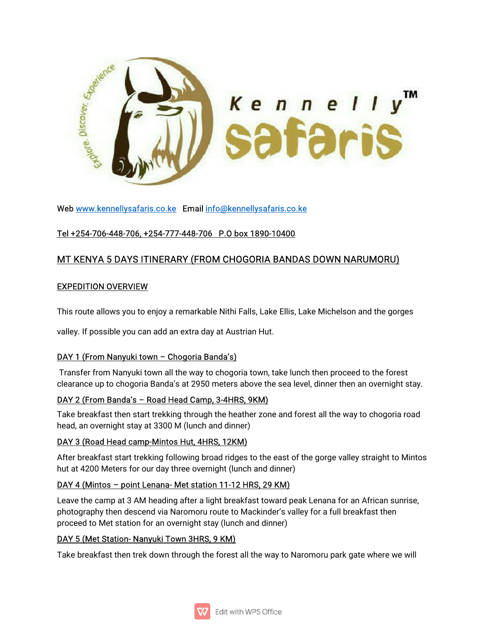

Web www.kennellysafaris.co.ke Email info@kennellysafaris.co.ke

## Tel+254-706-448-706,+254-777-448-706 P.Obox1890-10400

# MT KENYA 5 DAYS ITINERARY (FROM CHOGORIA BANDAS DOWN NARUMORU)

#### **EXPEDITION OVERVIEW**

This route allows you to enjoy a remarkable Nithi Falls, Lake Ellis, Lake Michelson and the gorges

valley. If possible you can add an extra day at Austrian Hut.

## DAY 1 (From Nanyuki town - Chogoria Banda's)

Transfer from Nanyuki town all the way to chogoria town, take lunch then proceed to the forest clearance up to chogoria Banda's at 2950 meters above the sea level, dinner then an overnight stay.

## DAY 2 (From Banda's - Road Head Camp, 3-4HRS, 9KM)

Take breakfast then start trekking through the heather zone and forest all the way to chogoria road head, an overnight stay at 3300 M (lunch and dinner)

## DAY 3 (Road Head camp-Mintos Hut, 4HRS, 12KM)

After breakfast start trekking following broad ridges to the east of the gorge valley straight to Mintos hut at 4200 Meters for our day three overnight (lunch and dinner)

## DAY 4 (Mintos – point Lenana-Met station 11-12 HRS, 29 KM)

Leave the camp at 3 AM heading after a light breakfast toward peak Lenana for an African sunrise, photography then descend via Naromoru route to Mackinder's valley for a full breakfast then proceed to Met station for an overnight stay (lunch and dinner)

## DAY 5 (Met Station-Nanyuki Town 3HRS, 9 KM)

Take breakfast then trek down through the forest all the way to Naromoru park gate where we will

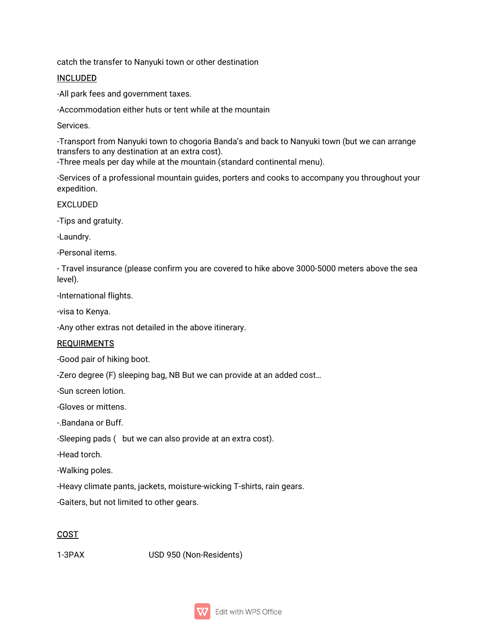catch the transfer to Nanyuki town or other destination

#### INCLUDED

-All park fees and government taxes.

-Accommodation either huts or tent while at the mountain

Services.

-Transport from Nanyuki town to chogoria Banda's and back to Nanyuki town (but we can arrange transfers to any destination at an extra cost).

-Three meals per day while at the mountain (standard continental menu).

-Services of a professional mountain guides, porters and cooks to accompany you throughout your expedition.

EXCLUDED

-Tips and gratuity.

-Laundry.

-Personal items.

- Travel insurance (please confirm you are covered to hike above 3000-5000 meters above the sea level).

-International flights.

-visa to Kenya.

-Any other extras not detailed in the above itinerary.

#### **REQUIRMENTS**

-Good pair of hiking boot.

-Zero degree (F) sleeping bag, NB But we can provide at an added cost...

-Sun screen lotion.

-Gloves or mittens

-.Bandana or Buff.

-Sleeping pads (but we can also provide at an extra cost).

-Head torch.

-Walking poles.

-Heavy climate pants, jackets, moisture-wicking T-shirts, rain gears.

-Gaiters, but not limited to other gears.

## COST

1-3PAX USD950(Non-Residents)